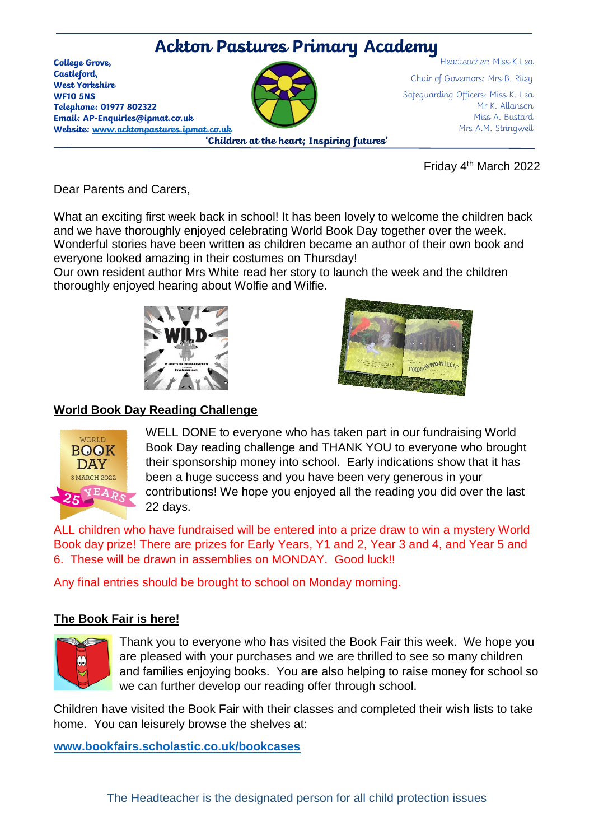

Friday 4 th March 2022

Dear Parents and Carers,

What an exciting first week back in school! It has been lovely to welcome the children back and we have thoroughly enjoyed celebrating World Book Day together over the week. Wonderful stories have been written as children became an author of their own book and everyone looked amazing in their costumes on Thursday!

Our own resident author Mrs White read her story to launch the week and the children thoroughly enjoyed hearing about Wolfie and Wilfie.





## **World Book Day Reading Challenge**



WELL DONE to everyone who has taken part in our fundraising World Book Day reading challenge and THANK YOU to everyone who brought their sponsorship money into school. Early indications show that it has been a huge success and you have been very generous in your contributions! We hope you enjoyed all the reading you did over the last 22 days.

ALL children who have fundraised will be entered into a prize draw to win a mystery World Book day prize! There are prizes for Early Years, Y1 and 2, Year 3 and 4, and Year 5 and 6. These will be drawn in assemblies on MONDAY. Good luck!!

Any final entries should be brought to school on Monday morning.

#### **The Book Fair is here!**



Thank you to everyone who has visited the Book Fair this week. We hope you are pleased with your purchases and we are thrilled to see so many children and families enjoying books. You are also helping to raise money for school so we can further develop our reading offer through school.

Children have visited the Book Fair with their classes and completed their wish lists to take home. You can leisurely browse the shelves at:

**[www.bookfairs.scholastic.co.uk/bookcases](http://www.bookfairs.scholastic.co.uk/bookcases)**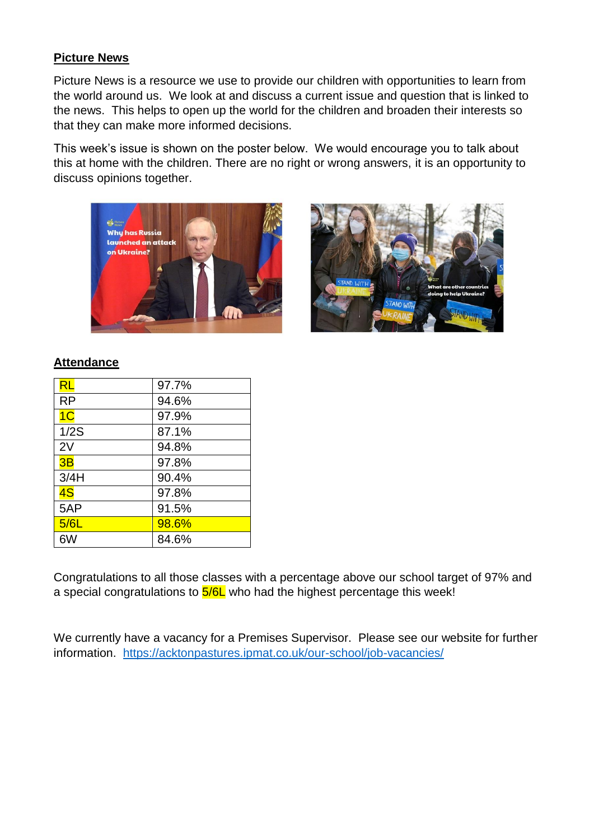## **Picture News**

Picture News is a resource we use to provide our children with opportunities to learn from the world around us. We look at and discuss a current issue and question that is linked to the news. This helps to open up the world for the children and broaden their interests so that they can make more informed decisions.

This week's issue is shown on the poster below. We would encourage you to talk about this at home with the children. There are no right or wrong answers, it is an opportunity to discuss opinions together.





#### **Attendance**

| RL             | 97.7% |
|----------------|-------|
| <b>RP</b>      | 94.6% |
| 1 <sub>C</sub> | 97.9% |
| 1/2S           | 87.1% |
| 2V             | 94.8% |
| 3B             | 97.8% |
| 3/4H           | 90.4% |
| 4S             | 97.8% |
| 5AP            | 91.5% |
| 5/6L           | 98.6% |
| 6W             | 84.6% |

Congratulations to all those classes with a percentage above our school target of 97% and a special congratulations to  $5/6L$  who had the highest percentage this week!

We currently have a vacancy for a Premises Supervisor. Please see our website for further information. <https://acktonpastures.ipmat.co.uk/our-school/job-vacancies/>